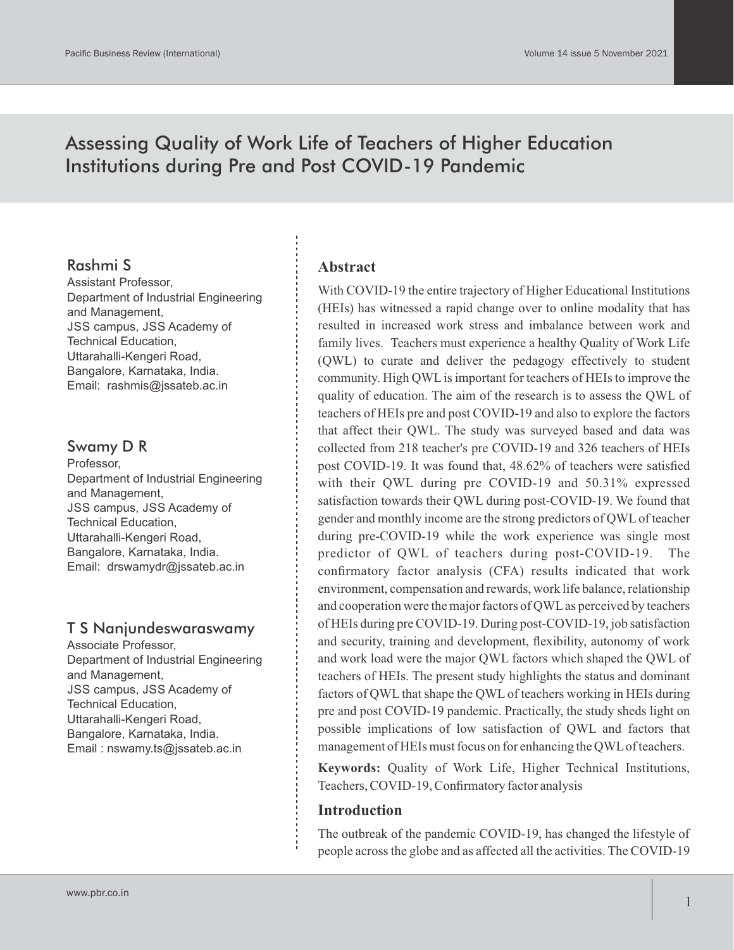# Assessing Quality of Work Life of Teachers of Higher Education Institutions during Pre and Post COVID-19 Pandemic

# Rashmi S

Assistant Professor, Department of Industrial Engineering and Management, JSS campus, JSS Academy of Technical Education, Uttarahalli-Kengeri Road, Bangalore, Karnataka, India. Email: rashmis@jssateb.ac.in

# Swamy D R

Professor, Department of Industrial Engineering and Management, JSS campus, JSS Academy of Technical Education, Uttarahalli-Kengeri Road, Bangalore, Karnataka, India. Email: drswamydr@jssateb.ac.in

# T S Nanjundeswaraswamy

Associate Professor, Department of Industrial Engineering and Management, JSS campus, JSS Academy of Technical Education, Uttarahalli-Kengeri Road, Bangalore, Karnataka, India. Email : nswamy.ts@jssateb.ac.in

## **Abstract**

With COVID-19 the entire trajectory of Higher Educational Institutions (HEIs) has witnessed a rapid change over to online modality that has resulted in increased work stress and imbalance between work and family lives. Teachers must experience a healthy Quality of Work Life (QWL) to curate and deliver the pedagogy effectively to student community. High QWLis important for teachers of HEIs to improve the quality of education. The aim of the research is to assess the QWL of teachers of HEIs pre and post COVID-19 and also to explore the factors that affect their QWL. The study was surveyed based and data was collected from 218 teacher's pre COVID-19 and 326 teachers of HEIs post COVID-19. It was found that, 48.62% of teachers were satisfied with their QWL during pre COVID-19 and 50.31% expressed satisfaction towards their QWL during post-COVID-19. We found that gender and monthly income are the strong predictors of QWLof teacher during pre-COVID-19 while the work experience was single most predictor of QWL of teachers during post-COVID-19. The confirmatory factor analysis (CFA) results indicated that work environment, compensation and rewards, work life balance, relationship and cooperation were the major factors of QWLas perceived by teachers of HEIs during pre COVID-19. During post-COVID-19, job satisfaction and security, training and development, flexibility, autonomy of work and work load were the major QWL factors which shaped the QWL of teachers of HEIs. The present study highlights the status and dominant factors of QWL that shape the QWL of teachers working in HEIs during pre and post COVID-19 pandemic. Practically, the study sheds light on possible implications of low satisfaction of QWL and factors that management of HEIs must focus on for enhancing the QWLof teachers.

**Keywords:** Quality of Work Life, Higher Technical Institutions, Teachers, COVID-19, Confirmatory factor analysis

#### **Introduction**

The outbreak of the pandemic COVID-19, has changed the lifestyle of people across the globe and as affected all the activities. The COVID-19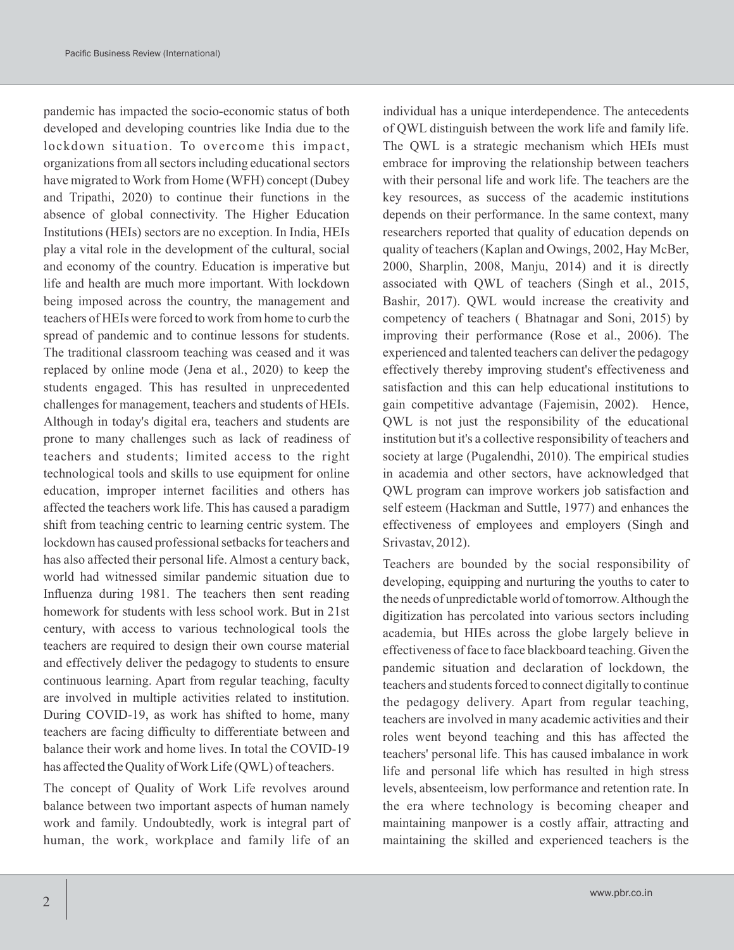pandemic has impacted the socio-economic status of both developed and developing countries like India due to the lockdown situation. To overcome this impact, organizations from all sectors including educational sectors have migrated to Work from Home (WFH) concept (Dubey and Tripathi, 2020) to continue their functions in the absence of global connectivity. The Higher Education Institutions (HEIs) sectors are no exception. In India, HEIs play a vital role in the development of the cultural, social and economy of the country. Education is imperative but life and health are much more important. With lockdown being imposed across the country, the management and teachers of HEIs were forced to work from home to curb the spread of pandemic and to continue lessons for students. The traditional classroom teaching was ceased and it was replaced by online mode (Jena et al., 2020) to keep the students engaged. This has resulted in unprecedented challenges for management, teachers and students of HEIs. Although in today's digital era, teachers and students are prone to many challenges such as lack of readiness of teachers and students; limited access to the right technological tools and skills to use equipment for online education, improper internet facilities and others has affected the teachers work life. This has caused a paradigm shift from teaching centric to learning centric system. The lockdown has caused professional setbacks for teachers and has also affected their personal life. Almost a century back, world had witnessed similar pandemic situation due to Influenza during 1981. The teachers then sent reading homework for students with less school work. But in 21st century, with access to various technological tools the teachers are required to design their own course material and effectively deliver the pedagogy to students to ensure continuous learning. Apart from regular teaching, faculty are involved in multiple activities related to institution. During COVID-19, as work has shifted to home, many teachers are facing difficulty to differentiate between and balance their work and home lives. In total the COVID-19 has affected the Quality of Work Life (QWL) of teachers.

The concept of Quality of Work Life revolves around balance between two important aspects of human namely work and family. Undoubtedly, work is integral part of human, the work, workplace and family life of an

individual has a unique interdependence. The antecedents of QWL distinguish between the work life and family life. The QWL is a strategic mechanism which HEIs must embrace for improving the relationship between teachers with their personal life and work life. The teachers are the key resources, as success of the academic institutions depends on their performance. In the same context, many researchers reported that quality of education depends on quality of teachers (Kaplan and Owings, 2002, Hay McBer, 2000, Sharplin, 2008, Manju, 2014) and it is directly associated with QWL of teachers (Singh et al., 2015, Bashir, 2017). QWL would increase the creativity and competency of teachers ( Bhatnagar and Soni, 2015) by improving their performance (Rose et al., 2006). The experienced and talented teachers can deliver the pedagogy effectively thereby improving student's effectiveness and satisfaction and this can help educational institutions to gain competitive advantage (Fajemisin, 2002). Hence, QWL is not just the responsibility of the educational institution but it's a collective responsibility of teachers and society at large (Pugalendhi, 2010). The empirical studies in academia and other sectors, have acknowledged that QWL program can improve workers job satisfaction and self esteem (Hackman and Suttle, 1977) and enhances the effectiveness of employees and employers (Singh and Srivastav, 2012).

Teachers are bounded by the social responsibility of developing, equipping and nurturing the youths to cater to the needs of unpredictable world of tomorrow. Although the digitization has percolated into various sectors including academia, but HIEs across the globe largely believe in effectiveness of face to face blackboard teaching. Given the pandemic situation and declaration of lockdown, the teachers and students forced to connect digitally to continue the pedagogy delivery. Apart from regular teaching, teachers are involved in many academic activities and their roles went beyond teaching and this has affected the teachers' personal life. This has caused imbalance in work life and personal life which has resulted in high stress levels, absenteeism, low performance and retention rate. In the era where technology is becoming cheaper and maintaining manpower is a costly affair, attracting and maintaining the skilled and experienced teachers is the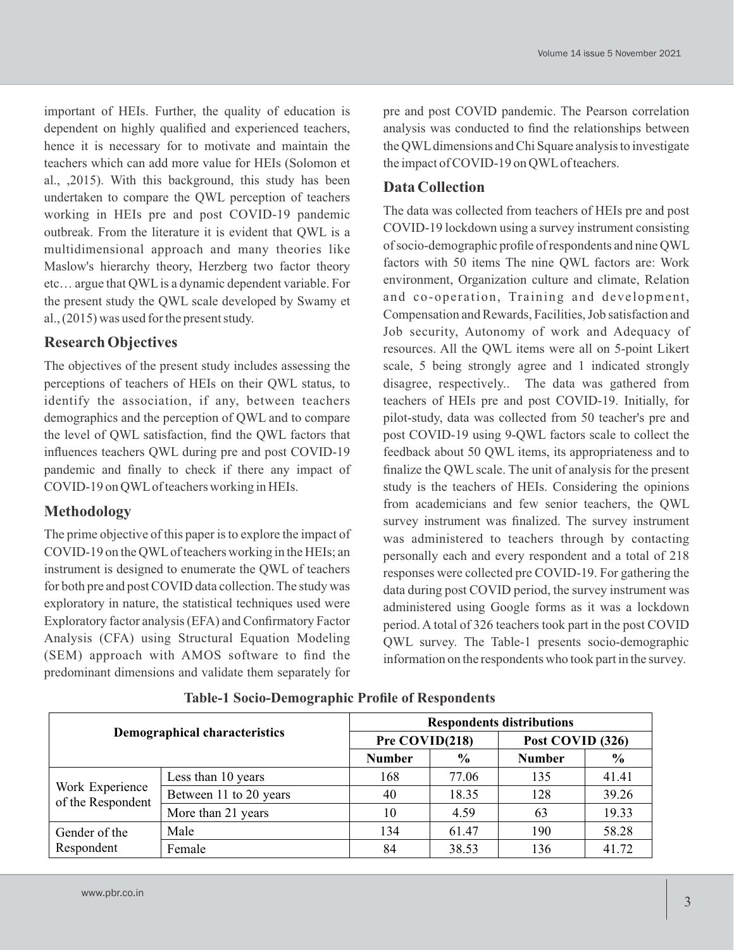important of HEIs. Further, the quality of education is dependent on highly qualified and experienced teachers, hence it is necessary for to motivate and maintain the teachers which can add more value for HEIs (Solomon et al., ,2015). With this background, this study has been undertaken to compare the QWL perception of teachers working in HEIs pre and post COVID-19 pandemic outbreak. From the literature it is evident that QWL is a multidimensional approach and many theories like Maslow's hierarchy theory, Herzberg two factor theory etc… argue that QWLis a dynamic dependent variable. For the present study the QWL scale developed by Swamy et al., (2015) was used for the present study.

## **Research Objectives**

The objectives of the present study includes assessing the perceptions of teachers of HEIs on their QWL status, to identify the association, if any, between teachers demographics and the perception of QWL and to compare the level of QWL satisfaction, find the QWL factors that influences teachers QWL during pre and post COVID-19 pandemic and finally to check if there any impact of COVID-19 on QWLof teachers working in HEIs.

# **Methodology**

The prime objective of this paper is to explore the impact of COVID-19 on the QWLof teachers working in the HEIs; an instrument is designed to enumerate the QWL of teachers for both pre and post COVID data collection. The study was exploratory in nature, the statistical techniques used were Exploratory factor analysis (EFA) and Confirmatory Factor Analysis (CFA) using Structural Equation Modeling (SEM) approach with AMOS software to find the predominant dimensions and validate them separately for pre and post COVID pandemic. The Pearson correlation analysis was conducted to find the relationships between the QWL dimensions and Chi Square analysis to investigate the impact of COVID-19 on QWLof teachers.

### **Data Collection**

The data was collected from teachers of HEIs pre and post COVID-19 lockdown using a survey instrument consisting of socio-demographic profile of respondents and nine QWL factors with 50 items The nine QWL factors are: Work environment, Organization culture and climate, Relation and co-operation, Training and development, Compensation and Rewards, Facilities, Job satisfaction and Job security, Autonomy of work and Adequacy of resources. All the QWL items were all on 5-point Likert scale, 5 being strongly agree and 1 indicated strongly disagree, respectively.. The data was gathered from teachers of HEIs pre and post COVID-19. Initially, for pilot-study, data was collected from 50 teacher's pre and post COVID-19 using 9-QWL factors scale to collect the feedback about 50 QWL items, its appropriateness and to finalize the QWL scale. The unit of analysis for the present study is the teachers of HEIs. Considering the opinions from academicians and few senior teachers, the QWL survey instrument was finalized. The survey instrument was administered to teachers through by contacting personally each and every respondent and a total of 218 responses were collected pre COVID-19. For gathering the data during post COVID period, the survey instrument was administered using Google forms as it was a lockdown period. A total of 326 teachers took part in the post COVID QWL survey. The Table-1 presents socio-demographic information on the respondents who took part in the survey.

| <b>Demographical characteristics</b> |                        | <b>Respondents distributions</b> |               |                  |               |  |  |  |
|--------------------------------------|------------------------|----------------------------------|---------------|------------------|---------------|--|--|--|
|                                      |                        | Pre COVID(218)                   |               | Post COVID (326) |               |  |  |  |
|                                      |                        | <b>Number</b>                    | $\frac{6}{9}$ | <b>Number</b>    | $\frac{6}{9}$ |  |  |  |
|                                      | Less than 10 years     | 168                              | 77.06         | 135              | 41.41         |  |  |  |
| Work Experience<br>of the Respondent | Between 11 to 20 years | 40                               | 18.35         | 128              | 39.26         |  |  |  |
|                                      | More than 21 years     | 10                               | 4.59          | 63               | 19.33         |  |  |  |
| Gender of the<br>Respondent          | Male                   | 134                              | 61.47         | 190              | 58.28         |  |  |  |
|                                      | Female                 | 84                               | 38.53         | 136              | 41.72         |  |  |  |

**Table-1 Socio-Demographic Profile of Respondents**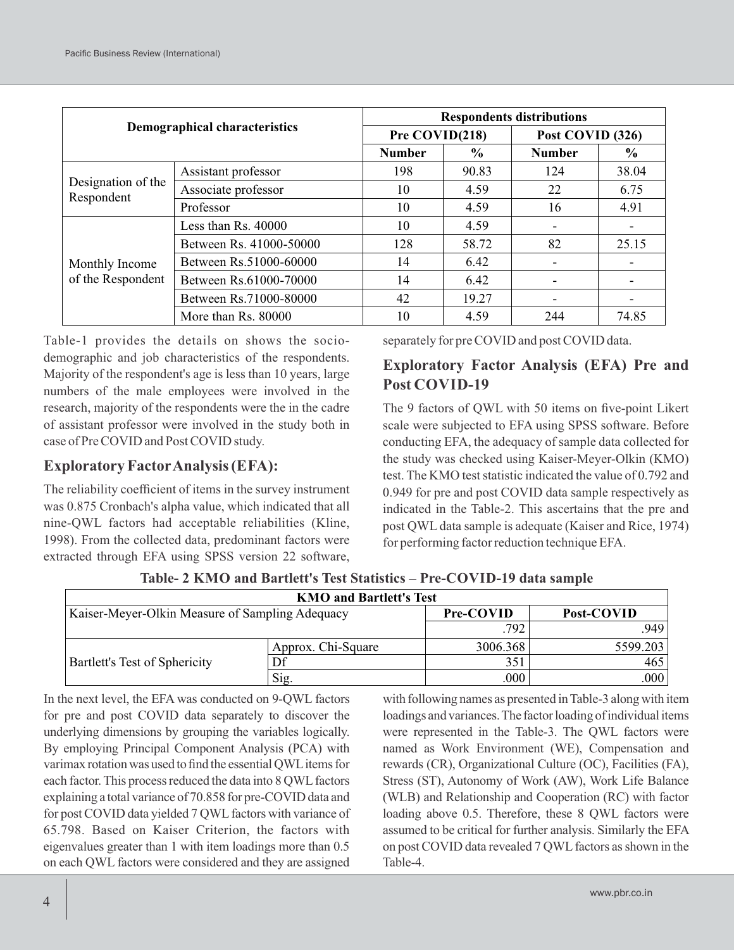| <b>Demographical characteristics</b> |                         | <b>Respondents distributions</b> |               |                  |               |  |  |  |
|--------------------------------------|-------------------------|----------------------------------|---------------|------------------|---------------|--|--|--|
|                                      |                         | Pre COVID(218)                   |               | Post COVID (326) |               |  |  |  |
|                                      |                         | <b>Number</b>                    | $\frac{6}{6}$ | <b>Number</b>    | $\frac{6}{6}$ |  |  |  |
|                                      | Assistant professor     | 198                              | 90.83         | 124              | 38.04         |  |  |  |
| Designation of the<br>Respondent     | Associate professor     | 10                               | 4.59          | 22               | 6.75          |  |  |  |
|                                      | Professor               | 10                               | 4.59          | 16               | 4.91          |  |  |  |
|                                      | Less than Rs. 40000     | 10                               | 4.59          |                  |               |  |  |  |
|                                      | Between Rs. 41000-50000 | 128                              | 58.72         | 82               | 25.15         |  |  |  |
| Monthly Income                       | Between Rs.51000-60000  | 14                               | 6.42          |                  |               |  |  |  |
| of the Respondent                    | Between Rs.61000-70000  | 14                               | 6.42          |                  |               |  |  |  |
|                                      | Between Rs.71000-80000  | 42                               | 19.27         |                  |               |  |  |  |
|                                      | More than Rs. 80000     | 10                               | 4.59          | 244              | 74.85         |  |  |  |

Table-1 provides the details on shows the sociodemographic and job characteristics of the respondents. Majority of the respondent's age is less than 10 years, large numbers of the male employees were involved in the research, majority of the respondents were the in the cadre of assistant professor were involved in the study both in case of Pre COVID and Post COVID study.

## **Exploratory FactorAnalysis (EFA):**

The reliability coefficient of items in the survey instrument was 0.875 Cronbach's alpha value, which indicated that all nine-QWL factors had acceptable reliabilities (Kline, 1998). From the collected data, predominant factors were extracted through EFA using SPSS version 22 software,

separately for pre COVID and post COVID data.

# **Exploratory Factor Analysis (EFA) Pre and Post COVID-19**

The 9 factors of QWL with 50 items on five-point Likert scale were subjected to EFA using SPSS software. Before conducting EFA, the adequacy of sample data collected for the study was checked using Kaiser-Meyer-Olkin (KMO) test. The KMO test statistic indicated the value of 0.792 and 0.949 for pre and post COVID data sample respectively as indicated in the Table-2. This ascertains that the pre and post QWL data sample is adequate (Kaiser and Rice, 1974) for performing factor reduction technique EFA.

| <b>KMO and Bartlett's Test</b>                  |                    |           |            |  |  |  |  |  |  |
|-------------------------------------------------|--------------------|-----------|------------|--|--|--|--|--|--|
| Kaiser-Meyer-Olkin Measure of Sampling Adequacy |                    | Pre-COVID | Post-COVID |  |  |  |  |  |  |
|                                                 |                    | .792      | .949       |  |  |  |  |  |  |
| Bartlett's Test of Sphericity                   | Approx. Chi-Square | 3006.368  | 5599.203   |  |  |  |  |  |  |
|                                                 | Df                 | 351       | 465        |  |  |  |  |  |  |
|                                                 | Sig.               | .000      | .000       |  |  |  |  |  |  |

**Table- 2 KMO and Bartlett's Test Statistics – Pre-COVID-19 data sample** 

In the next level, the EFA was conducted on 9-QWL factors for pre and post COVID data separately to discover the underlying dimensions by grouping the variables logically. By employing Principal Component Analysis (PCA) with varimax rotation was used to find the essential QWL items for each factor. This process reduced the data into 8 QWL factors explaining a total variance of 70.858 for pre-COVID data and for post COVID data yielded 7 QWL factors with variance of 65.798. Based on Kaiser Criterion, the factors with eigenvalues greater than 1 with item loadings more than 0.5 on each QWL factors were considered and they are assigned

with following names as presented in Table-3 along with item loadings and variances. The factor loading of individual items were represented in the Table-3. The QWL factors were named as Work Environment (WE), Compensation and rewards (CR), Organizational Culture (OC), Facilities (FA), Stress (ST), Autonomy of Work (AW), Work Life Balance (WLB) and Relationship and Cooperation (RC) with factor loading above 0.5. Therefore, these 8 QWL factors were assumed to be critical for further analysis. Similarly the EFA on post COVID data revealed 7 QWL factors as shown in the Table-4.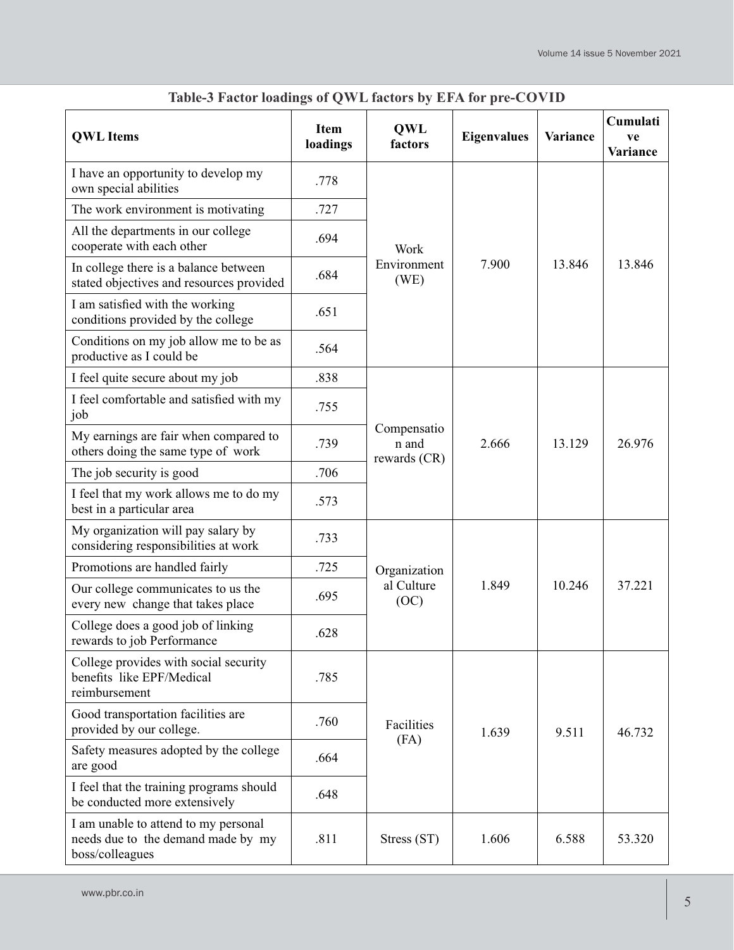| <b>QWL</b> Items                                                                              | <b>Item</b><br>loadings | <b>QWL</b><br>factors                | <b>Eigenvalues</b> | Variance | Cumulati<br>ve<br>Variance |
|-----------------------------------------------------------------------------------------------|-------------------------|--------------------------------------|--------------------|----------|----------------------------|
| I have an opportunity to develop my<br>own special abilities                                  | .778                    |                                      |                    |          |                            |
| The work environment is motivating                                                            | .727                    |                                      |                    |          |                            |
| All the departments in our college<br>cooperate with each other                               | .694                    | Work                                 |                    |          |                            |
| In college there is a balance between<br>stated objectives and resources provided             | .684                    | Environment<br>(WE)                  | 7.900              | 13.846   | 13.846                     |
| I am satisfied with the working<br>conditions provided by the college                         | .651                    |                                      |                    |          |                            |
| Conditions on my job allow me to be as<br>productive as I could be                            | .564                    |                                      |                    |          |                            |
| I feel quite secure about my job                                                              | .838                    |                                      |                    |          |                            |
| I feel comfortable and satisfied with my<br>job                                               | .755                    |                                      |                    | 13.129   |                            |
| My earnings are fair when compared to<br>others doing the same type of work                   | .739                    | Compensatio<br>n and<br>rewards (CR) | 2.666              |          | 26.976                     |
| The job security is good                                                                      | .706                    |                                      |                    |          |                            |
| I feel that my work allows me to do my<br>best in a particular area                           | .573                    |                                      |                    |          |                            |
| My organization will pay salary by<br>considering responsibilities at work                    | .733                    |                                      | 1.849              | 10.246   | 37.221                     |
| Promotions are handled fairly                                                                 | .725                    | Organization                         |                    |          |                            |
| Our college communicates to us the<br>every new change that takes place                       | .695                    | al Culture<br>(OC)                   |                    |          |                            |
| College does a good job of linking<br>rewards to job Performance                              | .628                    |                                      |                    |          |                            |
| College provides with social security<br>benefits like EPF/Medical<br>reimbursement           | .785                    |                                      |                    |          |                            |
| Good transportation facilities are<br>provided by our college.                                | .760                    | Facilities<br>(FA)                   | 1.639              | 9.511    | 46.732                     |
| Safety measures adopted by the college<br>are good                                            | .664                    |                                      |                    |          |                            |
| I feel that the training programs should<br>be conducted more extensively                     | .648                    |                                      |                    |          |                            |
| I am unable to attend to my personal<br>needs due to the demand made by my<br>boss/colleagues | .811                    | Stress (ST)                          | 1.606              | 6.588    | 53.320                     |

# **Table-3 Factor loadings of QWL factors by EFA for pre-COVID**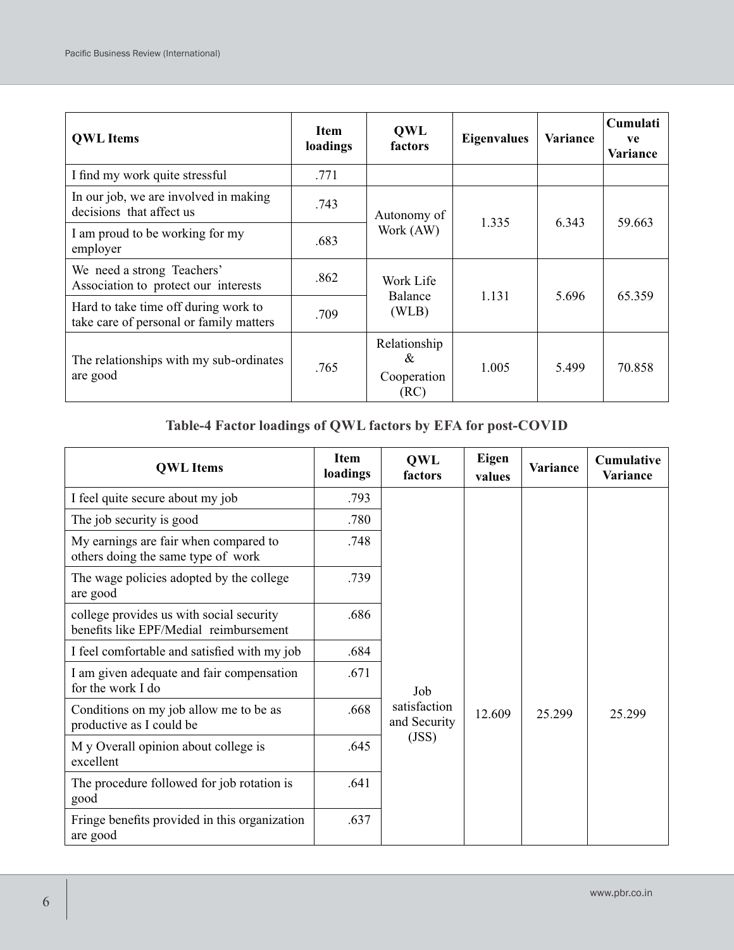| <b>QWL</b> Items                                                                | <b>Item</b><br>loadings | <b>QWL</b><br>factors                    | <b>Eigenvalues</b> | Variance | Cumulati<br>ve<br>Variance |
|---------------------------------------------------------------------------------|-------------------------|------------------------------------------|--------------------|----------|----------------------------|
| I find my work quite stressful                                                  | .771                    |                                          |                    |          |                            |
| In our job, we are involved in making<br>decisions that affect us               | .743                    | Autonomy of                              | 1.335              | 6.343    | 59.663                     |
| I am proud to be working for my<br>employer                                     | .683                    | Work (AW)                                |                    |          |                            |
| We need a strong Teachers'<br>Association to protect our interests              | .862                    | Work Life<br>Balance                     |                    |          |                            |
| Hard to take time off during work to<br>take care of personal or family matters | .709                    | (WLB)                                    | 1.131              | 5.696    | 65.359                     |
| The relationships with my sub-ordinates<br>are good                             | .765                    | Relationship<br>&<br>Cooperation<br>(RC) | 1.005              | 5.499    | 70.858                     |

# **Table-4 Factor loadings of QWL factors by EFA for post-COVID**

| <b>QWL</b> Items                                                                   | <b>Item</b><br>loadings | <b>QWL</b><br>factors        | <b>Eigen</b><br>values | Variance | <b>Cumulative</b><br>Variance |
|------------------------------------------------------------------------------------|-------------------------|------------------------------|------------------------|----------|-------------------------------|
| I feel quite secure about my job                                                   | .793                    |                              |                        |          |                               |
| The job security is good                                                           | .780                    |                              |                        |          |                               |
| My earnings are fair when compared to<br>others doing the same type of work        | .748                    |                              |                        |          |                               |
| The wage policies adopted by the college<br>are good                               | .739                    |                              |                        |          |                               |
| college provides us with social security<br>benefits like EPF/Medial reimbursement | .686                    |                              |                        |          |                               |
| I feel comfortable and satisfied with my job                                       | .684                    |                              |                        |          |                               |
| I am given adequate and fair compensation<br>for the work I do                     | .671                    | Job                          |                        |          |                               |
| Conditions on my job allow me to be as<br>productive as I could be                 | .668                    | satisfaction<br>and Security | 12.609                 | 25.299   | 25.299                        |
| M y Overall opinion about college is<br>excellent                                  | .645                    | (JSS)                        |                        |          |                               |
| The procedure followed for job rotation is<br>good                                 | .641                    |                              |                        |          |                               |
| Fringe benefits provided in this organization<br>are good                          | .637                    |                              |                        |          |                               |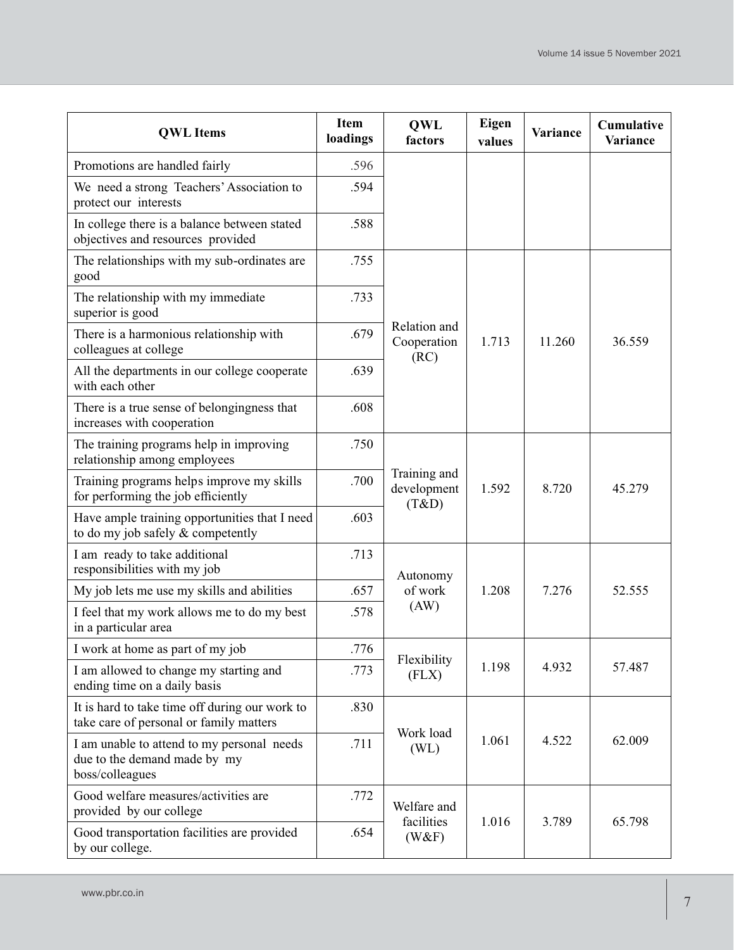| <b>QWL</b> Items                                                                              | <b>Item</b><br>loadings | <b>QWL</b><br>factors                | Eigen<br>values | <b>Variance</b> | Cumulative<br>Variance |
|-----------------------------------------------------------------------------------------------|-------------------------|--------------------------------------|-----------------|-----------------|------------------------|
| Promotions are handled fairly                                                                 | .596                    |                                      |                 |                 |                        |
| We need a strong Teachers' Association to<br>protect our interests                            | .594                    |                                      |                 |                 |                        |
| In college there is a balance between stated<br>objectives and resources provided             | .588                    |                                      |                 |                 |                        |
| The relationships with my sub-ordinates are<br>good                                           | .755                    |                                      |                 |                 |                        |
| The relationship with my immediate<br>superior is good                                        | .733                    |                                      |                 |                 |                        |
| There is a harmonious relationship with<br>colleagues at college                              | .679                    | Relation and<br>Cooperation<br>(RC)  | 1.713           | 11.260          | 36.559                 |
| All the departments in our college cooperate<br>with each other                               | .639                    |                                      |                 |                 |                        |
| There is a true sense of belongingness that<br>increases with cooperation                     | .608                    |                                      |                 |                 |                        |
| The training programs help in improving<br>relationship among employees                       | .750                    |                                      |                 |                 |                        |
| Training programs helps improve my skills<br>for performing the job efficiently               | .700                    | Training and<br>development<br>(T&D) | 1.592           | 8.720           | 45.279                 |
| Have ample training opportunities that I need<br>to do my job safely $&$ competently          | .603                    |                                      |                 |                 |                        |
| I am ready to take additional<br>responsibilities with my job                                 | .713                    | Autonomy                             |                 |                 |                        |
| My job lets me use my skills and abilities                                                    | .657                    | of work                              | 1.208           | 7.276           | 52.555                 |
| I feel that my work allows me to do my best<br>in a particular area                           | .578                    | (AW)                                 |                 |                 |                        |
| I work at home as part of my job                                                              | .776                    | Flexibility                          |                 |                 |                        |
| I am allowed to change my starting and<br>ending time on a daily basis                        | .773                    | (FLX)                                | 1.198           | 4.932           | 57.487                 |
| It is hard to take time off during our work to<br>take care of personal or family matters     | .830                    | Work load                            |                 |                 |                        |
| I am unable to attend to my personal needs<br>due to the demand made by my<br>boss/colleagues | .711                    | (WL)                                 | 1.061           | 4.522           | 62.009                 |
| Good welfare measures/activities are<br>provided by our college                               | .772                    | Welfare and<br>facilities            | 1.016           |                 | 65.798                 |
| Good transportation facilities are provided<br>by our college.                                | .654                    | (W&F)                                |                 | 3.789           |                        |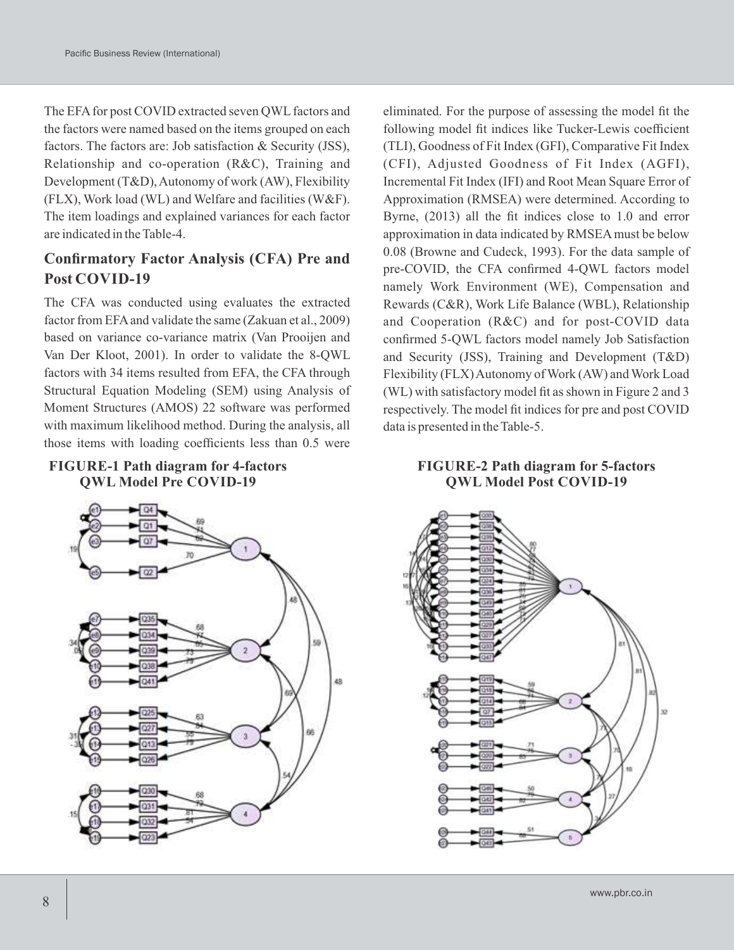The EFA for post COVID extracted seven QWL factors and the factors were named based on the items grouped on each factors. The factors are: Job satisfaction & Security (JSS), Relationship and co-operation (R&C), Training and Development (T&D), Autonomy of work (AW), Flexibility (FLX), Work load (WL) and Welfare and facilities (W&F). The item loadings and explained variances for each factor are indicated in the Table-4.

# **Confirmatory Factor Analysis (CFA) Pre and Post COVID-19**

The CFA was conducted using evaluates the extracted factor from EFA and validate the same (Zakuan et al., 2009) based on variance co-variance matrix (Van Prooijen and Van Der Kloot, 2001). In order to validate the 8-QWL factors with 34 items resulted from EFA, the CFA through Structural Equation Modeling (SEM) using Analysis of Moment Structures (AMOS) 22 software was performed with maximum likelihood method. During the analysis, all those items with loading coefficients less than 0.5 were





eliminated. For the purpose of assessing the model fit the following model fit indices like Tucker-Lewis coefficient (TLI), Goodness of Fit Index (GFI), Comparative Fit Index (CFI), Adjusted Goodness of Fit Index (AGFI), Incremental Fit Index (IFI) and Root Mean Square Error of Approximation (RMSEA) were determined. According to Byrne, (2013) all the fit indices close to 1.0 and error approximation in data indicated by RMSEAmust be below 0.08 (Browne and Cudeck, 1993). For the data sample of pre-COVID, the CFA confirmed 4-QWL factors model namely Work Environment (WE), Compensation and Rewards (C&R), Work Life Balance (WBL), Relationship and Cooperation (R&C) and for post-COVID data confirmed 5-QWL factors model namely Job Satisfaction and Security (JSS), Training and Development (T&D) Flexibility (FLX) Autonomy of Work (AW) and Work Load (WL) with satisfactory model fit as shown in Figure 2 and 3 respectively. The model fit indices for pre and post COVID data is presented in the Table-5.

#### **FIGURE-2 Path diagram for 5-factors QWL Model Post COVID-19**

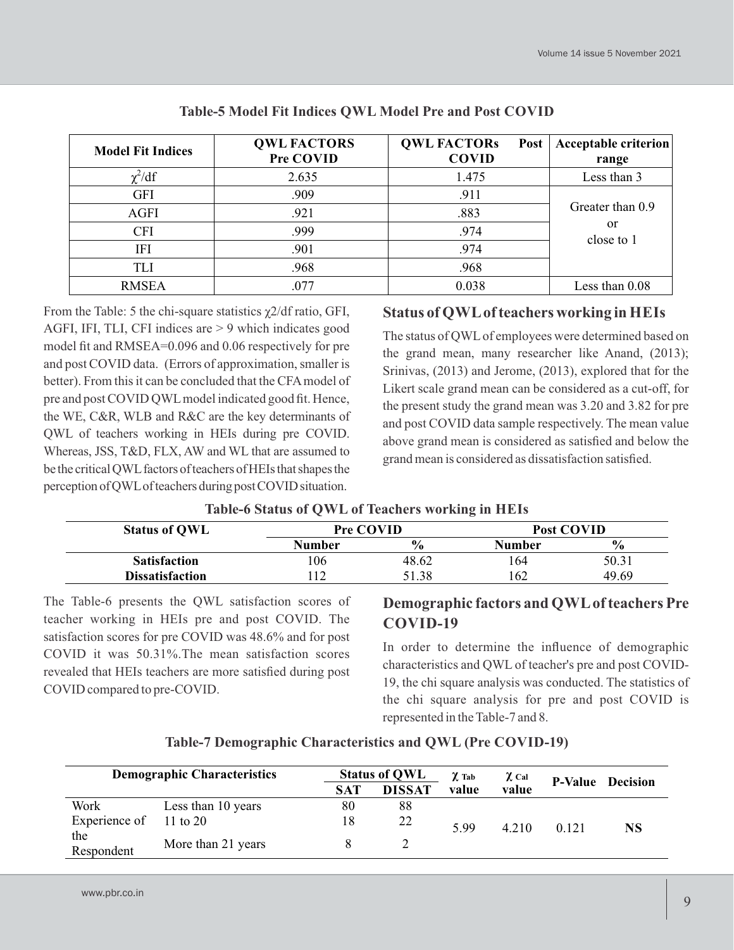| <b>Model Fit Indices</b> | <b>QWL FACTORS</b><br>Pre COVID | <b>QWL FACTORS</b><br>Post<br><b>COVID</b> | <b>Acceptable criterion</b><br>range |
|--------------------------|---------------------------------|--------------------------------------------|--------------------------------------|
| $\chi^2/df$              | 2.635                           | 1.475                                      | Less than 3                          |
| <b>GFI</b>               | .909                            | .911                                       |                                      |
| <b>AGFI</b>              | .921                            | .883                                       | Greater than 0.9                     |
| <b>CFI</b>               | .999                            | .974                                       | or<br>close to 1                     |
| IFI                      | .901                            | .974                                       |                                      |
| <b>TLI</b>               | .968                            | .968                                       |                                      |
| <b>RMSEA</b>             | .077                            | 0.038                                      | Less than 0.08                       |

#### **Table-5 Model Fit Indices QWL Model Pre and Post COVID**

From the Table: 5 the chi-square statistics  $\chi$ 2/df ratio, GFI, AGFI, IFI, TLI, CFI indices are > 9 which indicates good model fit and RMSEA=0.096 and 0.06 respectively for pre and post COVID data. (Errors of approximation, smaller is better). From this it can be concluded that the CFAmodel of pre and post COVID QWLmodel indicated good fit. Hence, the WE, C&R, WLB and R&C are the key determinants of QWL of teachers working in HEIs during pre COVID. Whereas, JSS, T&D, FLX, AW and WL that are assumed to be the critical QWL factors of teachers of HEIs that shapes the perception of QWL of teachers during post COVID situation.

# **Status of QWLof teachers working in HEIs**

The status of QWLof employees were determined based on the grand mean, many researcher like Anand, (2013); Srinivas, (2013) and Jerome, (2013), explored that for the Likert scale grand mean can be considered as a cut-off, for the present study the grand mean was 3.20 and 3.82 for pre and post COVID data sample respectively. The mean value above grand mean is considered as satisfied and below the grand mean is considered as dissatisfaction satisfied.

# **Table-6 Status of QWL of Teachers working in HEIs**

| <b>Status of OWL</b>   | <b>Pre COVID</b> |               | Post COVID |               |
|------------------------|------------------|---------------|------------|---------------|
|                        | Number           | $\frac{6}{6}$ | Number     | $\frac{6}{9}$ |
| <b>Satisfaction</b>    | 106              | 48.62         | 164        | 50.31         |
| <b>Dissatisfaction</b> | .12              | 51.38         | 162        | 49.69         |

The Table-6 presents the QWL satisfaction scores of teacher working in HEIs pre and post COVID. The satisfaction scores for pre COVID was 48.6% and for post COVID it was 50.31%.The mean satisfaction scores revealed that HEIs teachers are more satisfied during post COVID compared to pre-COVID.

# **Demographic factors and QWLof teachers Pre COVID-19**

In order to determine the influence of demographic characteristics and QWL of teacher's pre and post COVID-19, the chi square analysis was conducted. The statistics of the chi square analysis for pre and post COVID is represented in the Table-7 and 8.

| <b>Demographic Characteristics</b> |                     |     | <b>Status of QWL</b> |       | $\chi$ Cal | <b>P-Value</b> Decision |    |
|------------------------------------|---------------------|-----|----------------------|-------|------------|-------------------------|----|
|                                    |                     | SAT | <b>DISSAT</b>        | value | value      |                         |    |
| Work                               | Less than 10 years  | 80  | 88                   |       |            |                         |    |
| Experience of                      | $11 \text{ to } 20$ | 18  | 22                   | 5.99  | 4.210      | 0.121                   | NS |
| the<br>Respondent                  | More than 21 years  |     | ∽                    |       |            |                         |    |

# **Table-7 Demographic Characteristics and QWL (Pre COVID-19)**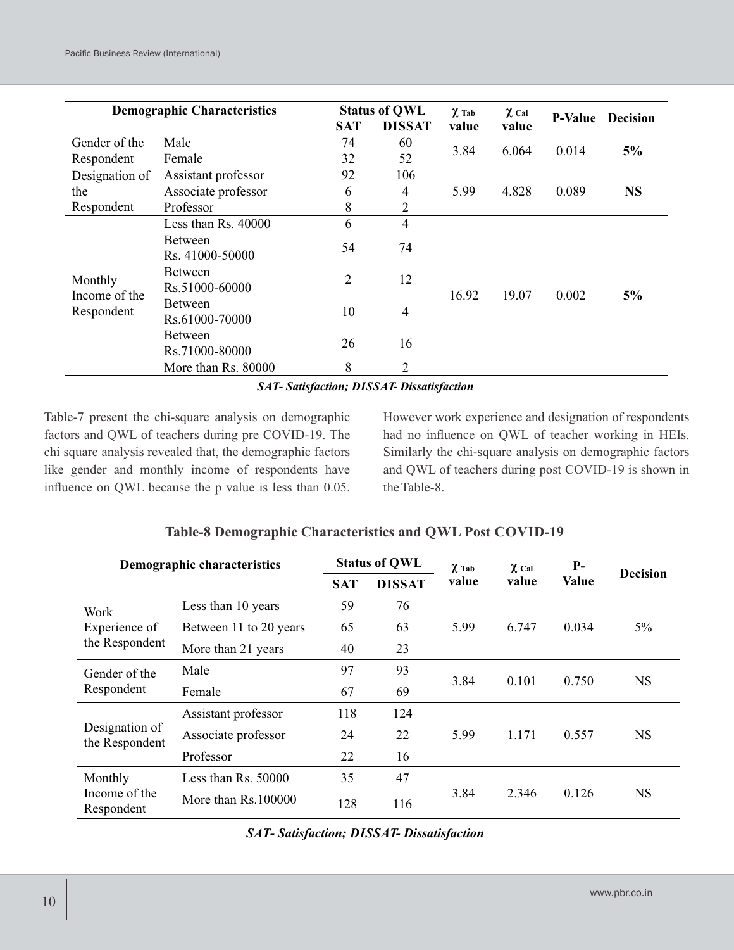| <b>Demographic Characteristics</b> |                                              |            | <b>Status of QWL</b> | $\chi$ Tab | $\chi$ Cal |                |                 |
|------------------------------------|----------------------------------------------|------------|----------------------|------------|------------|----------------|-----------------|
|                                    |                                              | <b>SAT</b> | <b>DISSAT</b>        | value      | value      | <b>P-Value</b> | <b>Decision</b> |
| Gender of the                      | Male                                         | 74         | 60                   | 3.84       | 6.064      | 0.014          | 5%              |
| Respondent                         | Female                                       | 32         | 52                   |            |            |                |                 |
| Designation of                     | Assistant professor                          | 92         | 106                  |            |            |                |                 |
| the                                | Associate professor                          | 6          | 4                    | 5.99       | 4.828      | 0.089          | <b>NS</b>       |
| Respondent                         | Professor                                    | 8          | 2                    |            |            |                |                 |
|                                    | Less than Rs. 40000                          | 6          | $\overline{4}$       |            |            | 0.002          | 5%              |
|                                    | <b>Between</b>                               | 54         | 74                   |            |            |                |                 |
| Monthly                            | Rs. 41000-50000<br>Between<br>Rs.51000-60000 | 2          | 12                   |            | 19.07      |                |                 |
| Income of the<br>Respondent        | Between<br>Rs.61000-70000                    | 10         | 4                    | 16.92      |            |                |                 |
|                                    | <b>Between</b><br>Rs.71000-80000             | 26         | 16                   |            |            |                |                 |
|                                    | More than Rs. 80000                          | 8          | 2                    |            |            |                |                 |

#### *SAT- Satisfaction; DISSAT- Dissatisfaction*

Table-7 present the chi-square analysis on demographic factors and QWL of teachers during pre COVID-19. The chi square analysis revealed that, the demographic factors like gender and monthly income of respondents have influence on QWL because the p value is less than 0.05. However work experience and designation of respondents had no influence on QWL of teacher working in HEIs. Similarly the chi-square analysis on demographic factors and QWL of teachers during post COVID-19 is shown in the Table-8.

| Demographic characteristics      |                        |            | <b>Status of QWL</b> | $\chi$ Tab | $\chi$ Cal | $P-$         | <b>Decision</b> |  |
|----------------------------------|------------------------|------------|----------------------|------------|------------|--------------|-----------------|--|
|                                  |                        | <b>SAT</b> | <b>DISSAT</b>        | value      | value      | <b>Value</b> |                 |  |
| Work                             | Less than 10 years     | 59         | 76                   |            |            |              |                 |  |
| Experience of                    | Between 11 to 20 years | 65         | 63                   | 5.99       | 6.747      | 0.034        | $5\%$           |  |
| the Respondent                   | More than 21 years     | 40         | 23                   |            |            |              |                 |  |
| Gender of the                    | Male                   | 97         | 93                   | 3.84       | 0.101      | 0.750        | <b>NS</b>       |  |
| Respondent                       | Female                 | 67         | 69                   |            |            |              |                 |  |
|                                  | Assistant professor    | 118        | 124                  |            |            |              |                 |  |
| Designation of<br>the Respondent | Associate professor    | 24         | 22                   | 5.99       | 1.171      | 0.557        | <b>NS</b>       |  |
|                                  | Professor              | 22         | 16                   |            |            |              |                 |  |
| Monthly                          | Less than $Rs. 50000$  | 35         | 47                   |            |            |              |                 |  |
| Income of the<br>Respondent      | More than $Rs.100000$  | 128        | 116                  | 3.84       | 2.346      | 0.126        | <b>NS</b>       |  |

# **Table-8 Demographic Characteristics and QWL Post COVID-19**

*SAT- Satisfaction; DISSAT- Dissatisfaction*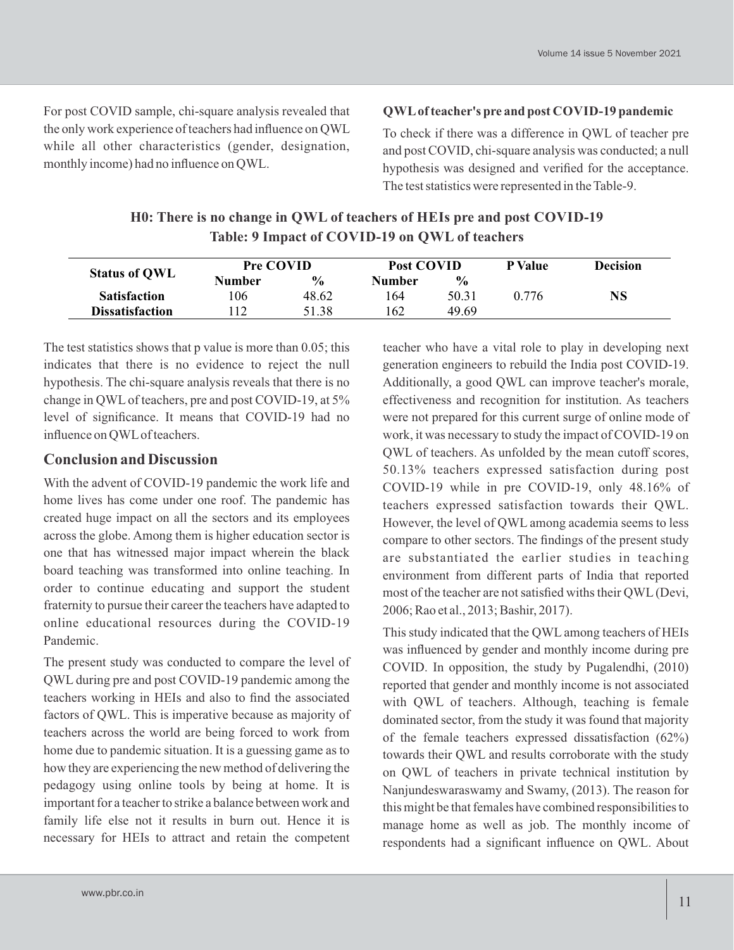For post COVID sample, chi-square analysis revealed that the only work experience of teachers had influence on QWL while all other characteristics (gender, designation, monthly income) had no influence on QWL.

#### **QWLof teacher's pre and post COVID-19 pandemic**

To check if there was a difference in QWL of teacher pre and post COVID, chi-square analysis was conducted; a null hypothesis was designed and verified for the acceptance. The test statistics were represented in the Table-9.

# **H0: There is no change in QWL of teachers of HEIs pre and post COVID-19 Table: 9 Impact of COVID-19 on QWL of teachers**

| <b>Status of QWL</b>   | <b>Pre COVID</b> |               | Post COVID |               | <b>P</b> Value | <b>Decision</b> |
|------------------------|------------------|---------------|------------|---------------|----------------|-----------------|
|                        | Number           | $\frac{6}{9}$ | Number     | $\frac{6}{9}$ |                |                 |
| <b>Satisfaction</b>    | 106              | 48.62         | 164        | 50.31         | 0.776          | $_{\bf NS}$     |
| <b>Dissatisfaction</b> | 12               | 51.38         | 162        | 49.69         |                |                 |

The test statistics shows that p value is more than 0.05; this indicates that there is no evidence to reject the null hypothesis. The chi-square analysis reveals that there is no change in QWLof teachers, pre and post COVID-19, at 5% level of significance. It means that COVID-19 had no influence on QWLof teachers.

# **Conclusion and Discussion**

With the advent of COVID-19 pandemic the work life and home lives has come under one roof. The pandemic has created huge impact on all the sectors and its employees across the globe. Among them is higher education sector is one that has witnessed major impact wherein the black board teaching was transformed into online teaching. In order to continue educating and support the student fraternity to pursue their career the teachers have adapted to online educational resources during the COVID-19 Pandemic.

The present study was conducted to compare the level of QWL during pre and post COVID-19 pandemic among the teachers working in HEIs and also to find the associated factors of QWL. This is imperative because as majority of teachers across the world are being forced to work from home due to pandemic situation. It is a guessing game as to how they are experiencing the new method of delivering the pedagogy using online tools by being at home. It is important for a teacher to strike a balance between work and family life else not it results in burn out. Hence it is necessary for HEIs to attract and retain the competent

teacher who have a vital role to play in developing next generation engineers to rebuild the India post COVID-19. Additionally, a good QWL can improve teacher's morale, effectiveness and recognition for institution. As teachers were not prepared for this current surge of online mode of work, it was necessary to study the impact of COVID-19 on QWL of teachers. As unfolded by the mean cutoff scores, 50.13% teachers expressed satisfaction during post COVID-19 while in pre COVID-19, only 48.16% of teachers expressed satisfaction towards their QWL. However, the level of QWL among academia seems to less compare to other sectors. The findings of the present study are substantiated the earlier studies in teaching environment from different parts of India that reported most of the teacher are not satisfied withs their QWL(Devi, 2006; Rao et al., 2013; Bashir, 2017).

This study indicated that the QWL among teachers of HEIs was influenced by gender and monthly income during pre COVID. In opposition, the study by Pugalendhi, (2010) reported that gender and monthly income is not associated with QWL of teachers. Although, teaching is female dominated sector, from the study it was found that majority of the female teachers expressed dissatisfaction (62%) towards their QWL and results corroborate with the study on QWL of teachers in private technical institution by Nanjundeswaraswamy and Swamy, (2013). The reason for this might be that females have combined responsibilities to manage home as well as job. The monthly income of respondents had a significant influence on QWL. About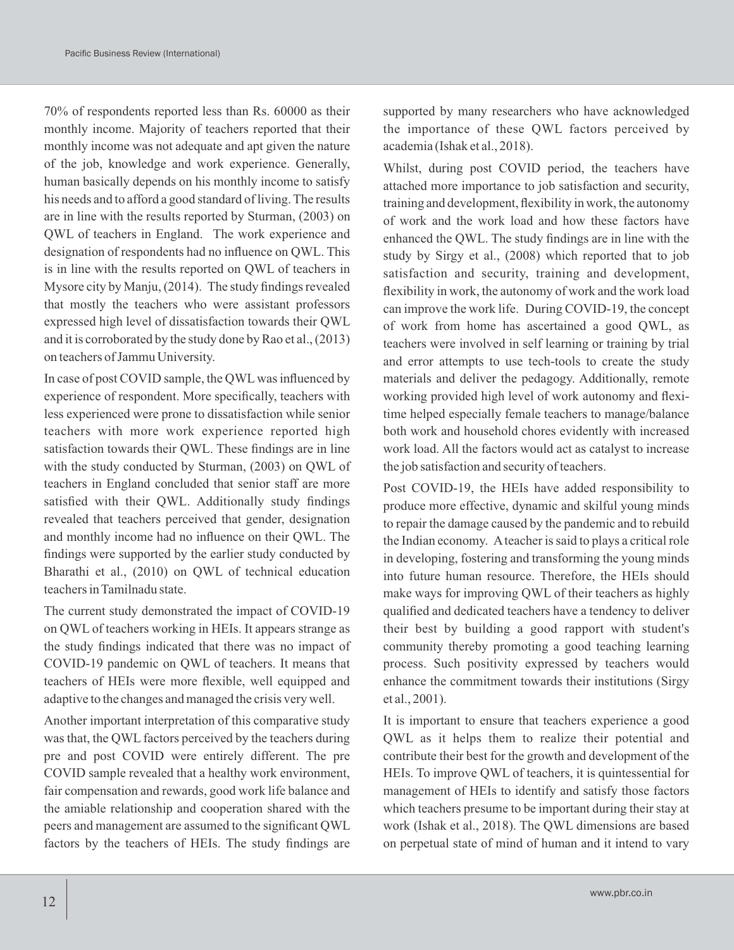70% of respondents reported less than Rs. 60000 as their monthly income. Majority of teachers reported that their monthly income was not adequate and apt given the nature of the job, knowledge and work experience. Generally, human basically depends on his monthly income to satisfy his needs and to afford a good standard of living. The results are in line with the results reported by Sturman, (2003) on QWL of teachers in England. The work experience and designation of respondents had no influence on QWL. This is in line with the results reported on QWL of teachers in Mysore city by Manju, (2014). The study findings revealed that mostly the teachers who were assistant professors expressed high level of dissatisfaction towards their QWL and it is corroborated by the study done by Rao et al., (2013) on teachers of Jammu University.

In case of post COVID sample, the QWLwas influenced by experience of respondent. More specifically, teachers with less experienced were prone to dissatisfaction while senior teachers with more work experience reported high satisfaction towards their QWL. These findings are in line with the study conducted by Sturman, (2003) on QWL of teachers in England concluded that senior staff are more satisfied with their QWL. Additionally study findings revealed that teachers perceived that gender, designation and monthly income had no influence on their QWL. The findings were supported by the earlier study conducted by Bharathi et al., (2010) on QWL of technical education teachers in Tamilnadu state.

The current study demonstrated the impact of COVID-19 on QWL of teachers working in HEIs. It appears strange as the study findings indicated that there was no impact of COVID-19 pandemic on QWL of teachers. It means that teachers of HEIs were more flexible, well equipped and adaptive to the changes and managed the crisis very well.

Another important interpretation of this comparative study was that, the QWL factors perceived by the teachers during pre and post COVID were entirely different. The pre COVID sample revealed that a healthy work environment, fair compensation and rewards, good work life balance and the amiable relationship and cooperation shared with the peers and management are assumed to the significant QWL factors by the teachers of HEIs. The study findings are supported by many researchers who have acknowledged the importance of these QWL factors perceived by academia (Ishak et al., 2018).

Whilst, during post COVID period, the teachers have attached more importance to job satisfaction and security, training and development, flexibility in work, the autonomy of work and the work load and how these factors have enhanced the QWL. The study findings are in line with the study by Sirgy et al., (2008) which reported that to job satisfaction and security, training and development, flexibility in work, the autonomy of work and the work load can improve the work life. During COVID-19, the concept of work from home has ascertained a good QWL, as teachers were involved in self learning or training by trial and error attempts to use tech-tools to create the study materials and deliver the pedagogy. Additionally, remote working provided high level of work autonomy and flexitime helped especially female teachers to manage/balance both work and household chores evidently with increased work load. All the factors would act as catalyst to increase the job satisfaction and security of teachers.

Post COVID-19, the HEIs have added responsibility to produce more effective, dynamic and skilful young minds to repair the damage caused by the pandemic and to rebuild the Indian economy. Ateacher is said to plays a critical role in developing, fostering and transforming the young minds into future human resource. Therefore, the HEIs should make ways for improving QWL of their teachers as highly qualified and dedicated teachers have a tendency to deliver their best by building a good rapport with student's community thereby promoting a good teaching learning process. Such positivity expressed by teachers would enhance the commitment towards their institutions (Sirgy et al., 2001).

It is important to ensure that teachers experience a good QWL as it helps them to realize their potential and contribute their best for the growth and development of the HEIs. To improve QWL of teachers, it is quintessential for management of HEIs to identify and satisfy those factors which teachers presume to be important during their stay at work (Ishak et al., 2018). The QWL dimensions are based on perpetual state of mind of human and it intend to vary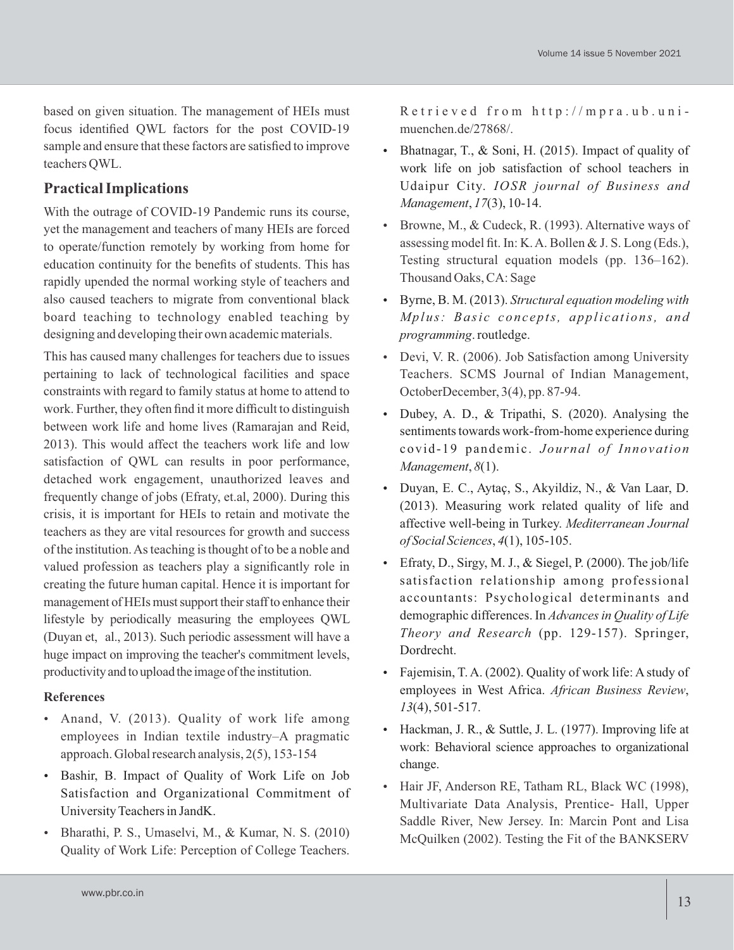based on given situation. The management of HEIs must focus identified QWL factors for the post COVID-19 sample and ensure that these factors are satisfied to improve teachers QWL.

# **Practical Implications**

With the outrage of COVID-19 Pandemic runs its course, yet the management and teachers of many HEIs are forced to operate/function remotely by working from home for education continuity for the benefits of students. This has rapidly upended the normal working style of teachers and also caused teachers to migrate from conventional black board teaching to technology enabled teaching by designing and developing their own academic materials.

This has caused many challenges for teachers due to issues pertaining to lack of technological facilities and space constraints with regard to family status at home to attend to work. Further, they often find it more difficult to distinguish between work life and home lives (Ramarajan and Reid, 2013). This would affect the teachers work life and low satisfaction of QWL can results in poor performance, detached work engagement, unauthorized leaves and frequently change of jobs (Efraty, et.al, 2000). During this crisis, it is important for HEIs to retain and motivate the teachers as they are vital resources for growth and success of the institution. As teaching is thought of to be a noble and valued profession as teachers play a significantly role in creating the future human capital. Hence it is important for management of HEIs must support their staff to enhance their lifestyle by periodically measuring the employees QWL (Duyan et, al., 2013). Such periodic assessment will have a huge impact on improving the teacher's commitment levels, productivity and to upload the image of the institution.

#### **References**

- Anand, V. (2013). Quality of work life among employees in Indian textile industry–A pragmatic approach. Global research analysis, 2(5), 153-154
- Bashir, B. Impact of Quality of Work Life on Job Satisfaction and Organizational Commitment of University Teachers in JandK.
- Bharathi, P. S., Umaselvi, M., & Kumar, N. S. (2010) Quality of Work Life: Perception of College Teachers.

Retrieved from http://mpra.ub.unimuenchen.de/27868/.

- Bhatnagar, T., & Soni, H. (2015). Impact of quality of work life on job satisfaction of school teachers in Udaipur City. *IOSR journal of Business and Management*, *17*(3), 10-14.
- Browne, M., & Cudeck, R. (1993). Alternative ways of assessing model fit. In: K. A. Bollen & J. S. Long (Eds.), Testing structural equation models (pp. 136–162). Thousand Oaks, CA: Sage
- Byrne, B. M. (2013). *Structural equation modeling with Mplus: Basi c conc epts, appli cations, and programming*. routledge.
- Devi, V. R. (2006). Job Satisfaction among University Teachers. SCMS Journal of Indian Management, OctoberDecember, 3(4), pp. 87-94.
- Dubey, A. D., & Tripathi, S. (2020). Analysing the sentiments towards work-from-home experience during covid-19 pandemic. Journal of Innovation *Management*, *8*(1).
- Duyan, E. C., Aytaç, S., Akyildiz, N., & Van Laar, D. (2013). Measuring work related quality of life and affective well-being in Turkey. *Mediterranean Journal of Social Sciences*, *4*(1), 105-105.
- Efraty, D., Sirgy, M. J.,  $\&$  Siegel, P. (2000). The job/life satisfaction relationship among professional accountants: Psychological determinants and demographic differences. In *Advances in Quality of Life Theory and Research* (pp. 129-157). Springer, Dordrecht.
- Fajemisin, T. A. (2002). Quality of work life: A study of employees in West Africa. *African Business Review*, *13*(4), 501-517.
- Hackman, J. R., & Suttle, J. L. (1977). Improving life at work: Behavioral science approaches to organizational change.
- Hair JF, Anderson RE, Tatham RL, Black WC (1998), Multivariate Data Analysis, Prentice- Hall, Upper Saddle River, New Jersey. In: Marcin Pont and Lisa McQuilken (2002). Testing the Fit of the BANKSERV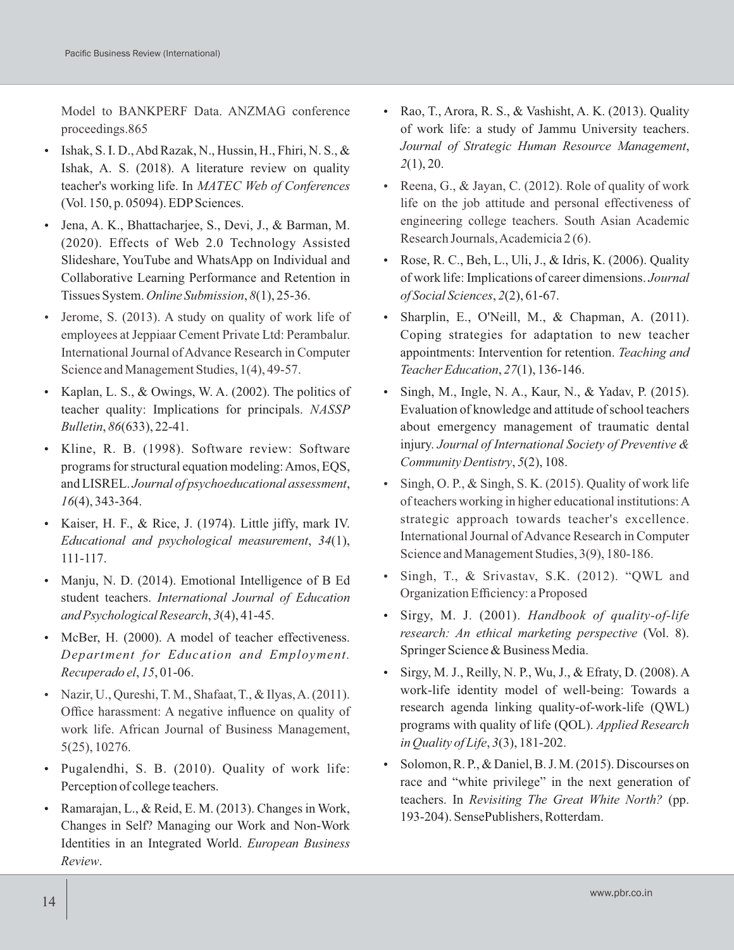Model to BANKPERF Data. ANZMAG conference proceedings.865

- $\bullet$  Ishak, S. I. D., Abd Razak, N., Hussin, H., Fhiri, N. S., & Ishak, A. S. (2018). A literature review on quality teacher's working life. In *MATEC Web of Conferences* (Vol. 150, p. 05094). EDP Sciences.
- Jena, A. K., Bhattacharjee, S., Devi, J., & Barman, M. (2020). Effects of Web 2.0 Technology Assisted Slideshare, YouTube and WhatsApp on Individual and Collaborative Learning Performance and Retention in Tissues System. *Online Submission*, *8*(1), 25-36.
- Jerome, S. (2013). A study on quality of work life of employees at Jeppiaar Cement Private Ltd: Perambalur. International Journal of Advance Research in Computer Science and Management Studies, 1(4), 49-57.
- Kaplan, L. S.,  $&$  Owings, W. A. (2002). The politics of teacher quality: Implications for principals. *NASSP Bulletin*, *86*(633), 22-41.
- Kline, R. B. (1998). Software review: Software programs for structural equation modeling: Amos, EQS, and LISREL. *Journal of psychoeducational assessment*, *16*(4), 343-364.
- Kaiser, H. F., & Rice, J. (1974). Little jiffy, mark IV. *Educational and psychological measurement*, *34*(1), 111-117.
- Manju, N. D. (2014). Emotional Intelligence of B Ed student teachers. *International Journal of Education and Psychological Research*, *3*(4), 41-45.
- McBer, H. (2000). A model of teacher effectiveness. *Department for Education and Employment. Recuperado el*, *15*, 01-06.
- Nazir, U., Qureshi, T. M., Shafaat, T., & Ilyas, A.  $(2011)$ . Office harassment: A negative influence on quality of work life. African Journal of Business Management, 5(25), 10276.
- Pugalendhi, S. B. (2010). Quality of work life: Perception of college teachers.
- Ramarajan, L., & Reid, E. M. (2013). Changes in Work, Changes in Self? Managing our Work and Non-Work Identities in an Integrated World. *European Business Review*.
- Rao, T., Arora, R. S., & Vashisht, A. K. (2013). Quality of work life: a study of Jammu University teachers. *Journal of Strategic Human Resource Management*, *2*(1), 20.
- Reena, G.,  $&$  Jayan, C. (2012). Role of quality of work life on the job attitude and personal effectiveness of engineering college teachers. South Asian Academic Research Journals, Academicia 2 (6).
- Rose, R. C., Beh, L., Uli, J., & Idris, K. (2006). Quality of work life: Implications of career dimensions. *Journal of Social Sciences*, *2*(2), 61-67.
- Sharplin, E., O'Neill, M., & Chapman, A. (2011). Coping strategies for adaptation to new teacher appointments: Intervention for retention. *Teaching and Teacher Education*, *27*(1), 136-146.
- Singh, M., Ingle, N. A., Kaur, N., & Yadav, P. (2015). Evaluation of knowledge and attitude of school teachers about emergency management of traumatic dental injury. *Journal of International Society of Preventive & Community Dentistry*, *5*(2), 108.
- Singh, O. P.,  $&$  Singh, S. K. (2015). Quality of work life of teachers working in higher educational institutions: A strategic approach towards teacher's excellence. International Journal of Advance Research in Computer Science and Management Studies, 3(9), 180-186.
- Singh, T., & Srivastav, S.K. (2012). "QWL and Organization Efficiency: a Proposed
- Sirgy, M. J. (2001). *Handbook of quality-of-life research: An ethical marketing perspective* (Vol. 8). Springer Science & Business Media.
- $\bullet$  Sirgy, M. J., Reilly, N. P., Wu, J., & Efraty, D. (2008). A work-life identity model of well-being: Towards a research agenda linking quality-of-work-life (QWL) programs with quality of life (QOL). *Applied Research in Quality of Life*, *3*(3), 181-202.
- Solomon, R. P., & Daniel, B. J. M. (2015). Discourses on race and "white privilege" in the next generation of teachers. In *Revisiting The Great White North?* (pp. 193-204). SensePublishers, Rotterdam.